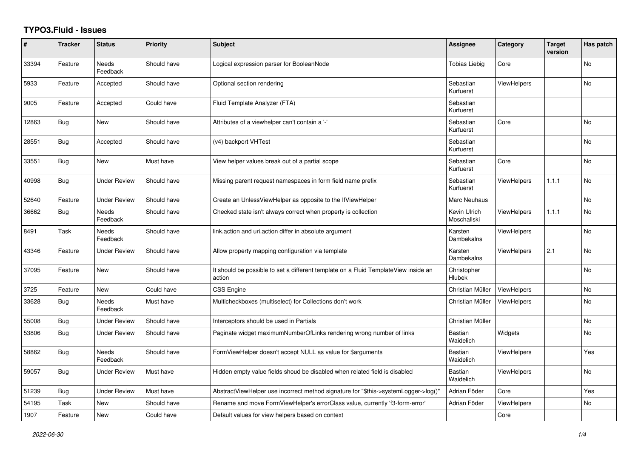## **TYPO3.Fluid - Issues**

| #     | <b>Tracker</b> | <b>Status</b>            | Priority    | <b>Subject</b>                                                                                | Assignee                    | Category           | <b>Target</b><br>version | Has patch      |
|-------|----------------|--------------------------|-------------|-----------------------------------------------------------------------------------------------|-----------------------------|--------------------|--------------------------|----------------|
| 33394 | Feature        | <b>Needs</b><br>Feedback | Should have | Logical expression parser for BooleanNode                                                     | <b>Tobias Liebig</b>        | Core               |                          | <b>No</b>      |
| 5933  | Feature        | Accepted                 | Should have | Optional section rendering                                                                    | Sebastian<br>Kurfuerst      | <b>ViewHelpers</b> |                          | <b>No</b>      |
| 9005  | Feature        | Accepted                 | Could have  | Fluid Template Analyzer (FTA)                                                                 | Sebastian<br>Kurfuerst      |                    |                          |                |
| 12863 | <b>Bug</b>     | New                      | Should have | Attributes of a viewhelper can't contain a '-'                                                | Sebastian<br>Kurfuerst      | Core               |                          | No             |
| 28551 | Bug            | Accepted                 | Should have | (v4) backport VHTest                                                                          | Sebastian<br>Kurfuerst      |                    |                          | <b>No</b>      |
| 33551 | Bug            | New                      | Must have   | View helper values break out of a partial scope                                               | Sebastian<br>Kurfuerst      | Core               |                          | No             |
| 40998 | <b>Bug</b>     | <b>Under Review</b>      | Should have | Missing parent request namespaces in form field name prefix                                   | Sebastian<br>Kurfuerst      | <b>ViewHelpers</b> | 1.1.1                    | No             |
| 52640 | Feature        | <b>Under Review</b>      | Should have | Create an UnlessViewHelper as opposite to the IfViewHelper                                    | Marc Neuhaus                |                    |                          | N <sub>o</sub> |
| 36662 | <b>Bug</b>     | <b>Needs</b><br>Feedback | Should have | Checked state isn't always correct when property is collection                                | Kevin Ulrich<br>Moschallski | ViewHelpers        | 1.1.1                    | No             |
| 8491  | Task           | <b>Needs</b><br>Feedback | Should have | link.action and uri.action differ in absolute argument                                        | Karsten<br>Dambekalns       | <b>ViewHelpers</b> |                          | No             |
| 43346 | Feature        | <b>Under Review</b>      | Should have | Allow property mapping configuration via template                                             | Karsten<br>Dambekalns       | <b>ViewHelpers</b> | 2.1                      | <b>No</b>      |
| 37095 | Feature        | <b>New</b>               | Should have | It should be possible to set a different template on a Fluid TemplateView inside an<br>action | Christopher<br>Hlubek       |                    |                          | <b>No</b>      |
| 3725  | Feature        | <b>New</b>               | Could have  | CSS Engine                                                                                    | Christian Müller            | ViewHelpers        |                          | N <sub>o</sub> |
| 33628 | <b>Bug</b>     | Needs<br>Feedback        | Must have   | Multicheckboxes (multiselect) for Collections don't work                                      | Christian Müller            | ViewHelpers        |                          | No             |
| 55008 | <b>Bug</b>     | <b>Under Review</b>      | Should have | Interceptors should be used in Partials                                                       | Christian Müller            |                    |                          | No             |
| 53806 | <b>Bug</b>     | <b>Under Review</b>      | Should have | Paginate widget maximumNumberOfLinks rendering wrong number of links                          | Bastian<br>Waidelich        | Widgets            |                          | N <sub>o</sub> |
| 58862 | <b>Bug</b>     | Needs<br>Feedback        | Should have | FormViewHelper doesn't accept NULL as value for \$arguments                                   | Bastian<br>Waidelich        | <b>ViewHelpers</b> |                          | Yes            |
| 59057 | <b>Bug</b>     | <b>Under Review</b>      | Must have   | Hidden empty value fields shoud be disabled when related field is disabled                    | Bastian<br>Waidelich        | <b>ViewHelpers</b> |                          | <b>No</b>      |
| 51239 | <b>Bug</b>     | Under Review             | Must have   | AbstractViewHelper use incorrect method signature for "\$this->systemLogger->log()"           | Adrian Föder                | Core               |                          | Yes            |
| 54195 | Task           | New                      | Should have | Rename and move FormViewHelper's errorClass value, currently 'f3-form-error'                  | Adrian Föder                | <b>ViewHelpers</b> |                          | No             |
| 1907  | Feature        | <b>New</b>               | Could have  | Default values for view helpers based on context                                              |                             | Core               |                          |                |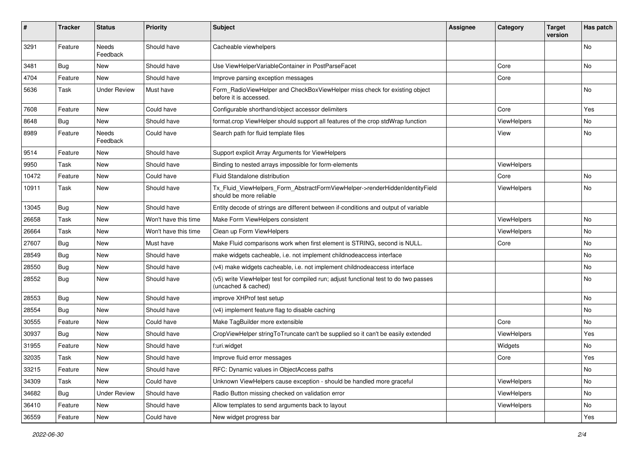| $\sharp$ | <b>Tracker</b> | <b>Status</b>            | <b>Priority</b>      | <b>Subject</b>                                                                                              | <b>Assignee</b> | Category    | <b>Target</b><br>version | Has patch |
|----------|----------------|--------------------------|----------------------|-------------------------------------------------------------------------------------------------------------|-----------------|-------------|--------------------------|-----------|
| 3291     | Feature        | <b>Needs</b><br>Feedback | Should have          | Cacheable viewhelpers                                                                                       |                 |             |                          | <b>No</b> |
| 3481     | Bug            | New                      | Should have          | Use ViewHelperVariableContainer in PostParseFacet                                                           |                 | Core        |                          | No        |
| 4704     | Feature        | New                      | Should have          | Improve parsing exception messages                                                                          |                 | Core        |                          |           |
| 5636     | Task           | <b>Under Review</b>      | Must have            | Form_RadioViewHelper and CheckBoxViewHelper miss check for existing object<br>before it is accessed.        |                 |             |                          | No        |
| 7608     | Feature        | New                      | Could have           | Configurable shorthand/object accessor delimiters                                                           |                 | Core        |                          | Yes       |
| 8648     | Bug            | New                      | Should have          | format.crop ViewHelper should support all features of the crop stdWrap function                             |                 | ViewHelpers |                          | No        |
| 8989     | Feature        | Needs<br>Feedback        | Could have           | Search path for fluid template files                                                                        |                 | View        |                          | No        |
| 9514     | Feature        | New                      | Should have          | Support explicit Array Arguments for ViewHelpers                                                            |                 |             |                          |           |
| 9950     | Task           | New                      | Should have          | Binding to nested arrays impossible for form-elements                                                       |                 | ViewHelpers |                          |           |
| 10472    | Feature        | New                      | Could have           | Fluid Standalone distribution                                                                               |                 | Core        |                          | No        |
| 10911    | Task           | New                      | Should have          | Tx_Fluid_ViewHelpers_Form_AbstractFormViewHelper->renderHiddenIdentityField<br>should be more reliable      |                 | ViewHelpers |                          | No        |
| 13045    | Bug            | New                      | Should have          | Entity decode of strings are different between if-conditions and output of variable                         |                 |             |                          |           |
| 26658    | Task           | New                      | Won't have this time | Make Form ViewHelpers consistent                                                                            |                 | ViewHelpers |                          | No        |
| 26664    | Task           | New                      | Won't have this time | Clean up Form ViewHelpers                                                                                   |                 | ViewHelpers |                          | No        |
| 27607    | Bug            | New                      | Must have            | Make Fluid comparisons work when first element is STRING, second is NULL.                                   |                 | Core        |                          | No        |
| 28549    | Bug            | New                      | Should have          | make widgets cacheable, i.e. not implement childnodeaccess interface                                        |                 |             |                          | No        |
| 28550    | Bug            | New                      | Should have          | (v4) make widgets cacheable, i.e. not implement childnodeaccess interface                                   |                 |             |                          | No        |
| 28552    | Bug            | New                      | Should have          | (v5) write ViewHelper test for compiled run; adjust functional test to do two passes<br>(uncached & cached) |                 |             |                          | No        |
| 28553    | Bug            | New                      | Should have          | improve XHProf test setup                                                                                   |                 |             |                          | No        |
| 28554    | Bug            | New                      | Should have          | (v4) implement feature flag to disable caching                                                              |                 |             |                          | No        |
| 30555    | Feature        | New                      | Could have           | Make TagBuilder more extensible                                                                             |                 | Core        |                          | No        |
| 30937    | Bug            | New                      | Should have          | CropViewHelper stringToTruncate can't be supplied so it can't be easily extended                            |                 | ViewHelpers |                          | Yes       |
| 31955    | Feature        | New                      | Should have          | f:uri.widget                                                                                                |                 | Widgets     |                          | No        |
| 32035    | Task           | New                      | Should have          | Improve fluid error messages                                                                                |                 | Core        |                          | Yes       |
| 33215    | Feature        | New                      | Should have          | RFC: Dynamic values in ObjectAccess paths                                                                   |                 |             |                          | No        |
| 34309    | Task           | New                      | Could have           | Unknown ViewHelpers cause exception - should be handled more graceful                                       |                 | ViewHelpers |                          | No        |
| 34682    | <b>Bug</b>     | <b>Under Review</b>      | Should have          | Radio Button missing checked on validation error                                                            |                 | ViewHelpers |                          | No        |
| 36410    | Feature        | New                      | Should have          | Allow templates to send arguments back to layout                                                            |                 | ViewHelpers |                          | No        |
| 36559    | Feature        | New                      | Could have           | New widget progress bar                                                                                     |                 |             |                          | Yes       |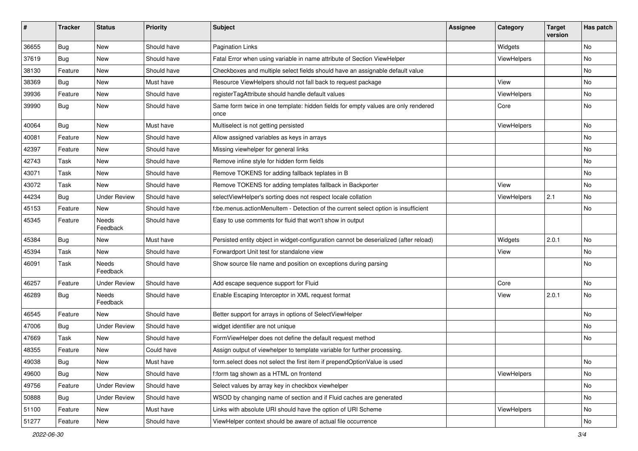| ∦     | <b>Tracker</b> | <b>Status</b>       | <b>Priority</b> | <b>Subject</b>                                                                            | <b>Assignee</b> | Category    | <b>Target</b><br>version | Has patch |
|-------|----------------|---------------------|-----------------|-------------------------------------------------------------------------------------------|-----------------|-------------|--------------------------|-----------|
| 36655 | Bug            | New                 | Should have     | <b>Pagination Links</b>                                                                   |                 | Widgets     |                          | No        |
| 37619 | Bug            | New                 | Should have     | Fatal Error when using variable in name attribute of Section ViewHelper                   |                 | ViewHelpers |                          | No        |
| 38130 | Feature        | New                 | Should have     | Checkboxes and multiple select fields should have an assignable default value             |                 |             |                          | No        |
| 38369 | Bug            | New                 | Must have       | Resource ViewHelpers should not fall back to request package                              |                 | View        |                          | No        |
| 39936 | Feature        | New                 | Should have     | registerTagAttribute should handle default values                                         |                 | ViewHelpers |                          | No        |
| 39990 | Bug            | New                 | Should have     | Same form twice in one template: hidden fields for empty values are only rendered<br>once |                 | Core        |                          | No        |
| 40064 | Bug            | New                 | Must have       | Multiselect is not getting persisted                                                      |                 | ViewHelpers |                          | No        |
| 40081 | Feature        | New                 | Should have     | Allow assigned variables as keys in arrays                                                |                 |             |                          | No        |
| 42397 | Feature        | New                 | Should have     | Missing viewhelper for general links                                                      |                 |             |                          | No        |
| 42743 | Task           | New                 | Should have     | Remove inline style for hidden form fields                                                |                 |             |                          | No        |
| 43071 | Task           | New                 | Should have     | Remove TOKENS for adding fallback teplates in B                                           |                 |             |                          | No        |
| 43072 | Task           | New                 | Should have     | Remove TOKENS for adding templates fallback in Backporter                                 |                 | View        |                          | No        |
| 44234 | Bug            | <b>Under Review</b> | Should have     | selectViewHelper's sorting does not respect locale collation                              |                 | ViewHelpers | 2.1                      | No        |
| 45153 | Feature        | New                 | Should have     | f:be.menus.actionMenuItem - Detection of the current select option is insufficient        |                 |             |                          | No        |
| 45345 | Feature        | Needs<br>Feedback   | Should have     | Easy to use comments for fluid that won't show in output                                  |                 |             |                          |           |
| 45384 | Bug            | New                 | Must have       | Persisted entity object in widget-configuration cannot be deserialized (after reload)     |                 | Widgets     | 2.0.1                    | No.       |
| 45394 | Task           | New                 | Should have     | Forwardport Unit test for standalone view                                                 |                 | View        |                          | No        |
| 46091 | Task           | Needs<br>Feedback   | Should have     | Show source file name and position on exceptions during parsing                           |                 |             |                          | No        |
| 46257 | Feature        | <b>Under Review</b> | Should have     | Add escape sequence support for Fluid                                                     |                 | Core        |                          | No        |
| 46289 | Bug            | Needs<br>Feedback   | Should have     | Enable Escaping Interceptor in XML request format                                         |                 | View        | 2.0.1                    | No        |
| 46545 | Feature        | New                 | Should have     | Better support for arrays in options of SelectViewHelper                                  |                 |             |                          | No        |
| 47006 | Bug            | Under Review        | Should have     | widget identifier are not unique                                                          |                 |             |                          | No.       |
| 47669 | Task           | New                 | Should have     | FormViewHelper does not define the default request method                                 |                 |             |                          | No        |
| 48355 | Feature        | New                 | Could have      | Assign output of viewhelper to template variable for further processing.                  |                 |             |                          |           |
| 49038 | Bug            | New                 | Must have       | form.select does not select the first item if prependOptionValue is used                  |                 |             |                          | No        |
| 49600 | Bug            | New                 | Should have     | f:form tag shown as a HTML on frontend                                                    |                 | ViewHelpers |                          | No        |
| 49756 | Feature        | <b>Under Review</b> | Should have     | Select values by array key in checkbox viewhelper                                         |                 |             |                          | No        |
| 50888 | Bug            | <b>Under Review</b> | Should have     | WSOD by changing name of section and if Fluid caches are generated                        |                 |             |                          | No        |
| 51100 | Feature        | New                 | Must have       | Links with absolute URI should have the option of URI Scheme                              |                 | ViewHelpers |                          | No        |
| 51277 | Feature        | New                 | Should have     | ViewHelper context should be aware of actual file occurrence                              |                 |             |                          | No        |